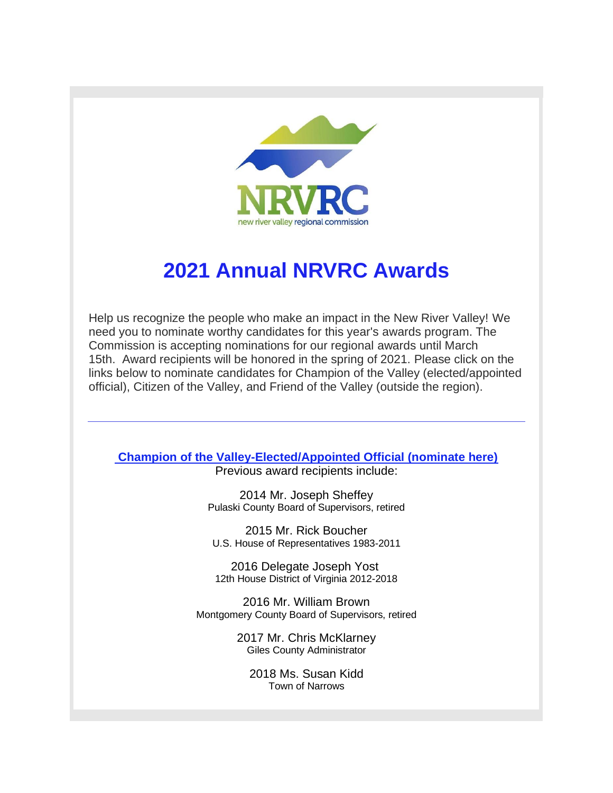

## **2021 Annual NRVRC Awards**

Help us recognize the people who make an impact in the New River Valley! We need you to nominate worthy candidates for this year's awards program. The Commission is accepting nominations for our regional awards until March 15th. Award recipients will be honored in the spring of 2021. Please click on the links below to nominate candidates for Champion of the Valley (elected/appointed official), Citizen of the Valley, and Friend of the Valley (outside the region).

## **[Champion of the Valley-Elected/Appointed Official \(nominate here\)](http://r20.rs6.net/tn.jsp?f=001K6iWJARp3zrT5EG7MpxcuWd2H4kCagjk5tyeU-dSkZX9qaYyPoKRya5FOxAbPIzLR_a0bYW-ES9hDVTeg5SBWC_QoakhBxrfBK_eawNz3i3jiTvYfDNxQVnI-X2hCc-SzhWc6OmLXFeDFXqsQbYrT2Sf0PSMclMXzQn4XzQ78uZBuG4rzZfLxqds1jzmfLgevIGtmweuIOw=&c=D9kRaKoqdQZQoF70bcwnlO0BDJf8Csdtaj5zKyNpIhsjhrH6vvisyw==&ch=wDAnz_WfItLHCJ821Bt4XL6TH2YJKRKmng5_05SHZiyPesGT31ZtfQ==)**

Previous award recipients include:

2014 Mr. Joseph Sheffey Pulaski County Board of Supervisors, retired

2015 Mr. Rick Boucher U.S. House of Representatives 1983-2011

2016 Delegate Joseph Yost 12th House District of Virginia 2012-2018

2016 Mr. William Brown Montgomery County Board of Supervisors, retired

> 2017 Mr. Chris McKlarney Giles County Administrator

2018 Ms. Susan Kidd Town of Narrows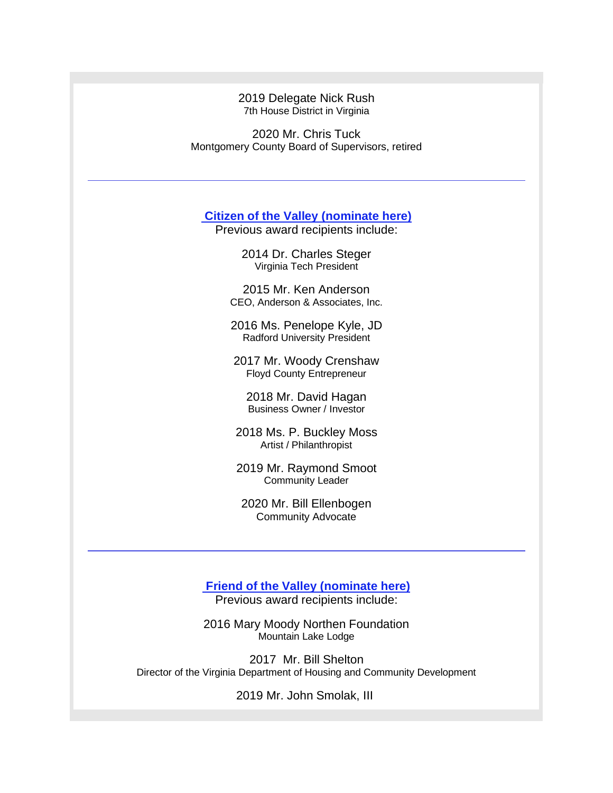2019 Delegate Nick Rush 7th House District in Virginia

2020 Mr. Chris Tuck Montgomery County Board of Supervisors, retired

**[Citizen of the Valley](http://r20.rs6.net/tn.jsp?f=001K6iWJARp3zrT5EG7MpxcuWd2H4kCagjk5tyeU-dSkZX9qaYyPoKRya5FOxAbPIzL8YW9PaF9XPq3OnTInPz1XTj6gncvDtt3PnrBq7ZotRHG3vDGWF-IkO9B_yZg3o7rGfGK-N1zS7yBM3ZhkhkdoM7NRX1Flx9JZvqi7bsjCD4__U6zbg5ymCpLWz5AnAtW&c=D9kRaKoqdQZQoF70bcwnlO0BDJf8Csdtaj5zKyNpIhsjhrH6vvisyw==&ch=wDAnz_WfItLHCJ821Bt4XL6TH2YJKRKmng5_05SHZiyPesGT31ZtfQ==) (nominate here)**

Previous award recipients include:

2014 Dr. Charles Steger Virginia Tech President

2015 Mr. Ken Anderson CEO, Anderson & Associates, Inc.

2016 Ms. Penelope Kyle, JD Radford University President

2017 Mr. Woody Crenshaw Floyd County Entrepreneur

2018 Mr. David Hagan Business Owner / Investor

2018 Ms. P. Buckley Moss Artist / Philanthropist

2019 Mr. Raymond Smoot Community Leader

2020 Mr. Bill Ellenbogen Community Advocate

**[Friend of the Valley](http://r20.rs6.net/tn.jsp?f=001K6iWJARp3zrT5EG7MpxcuWd2H4kCagjk5tyeU-dSkZX9qaYyPoKRya5FOxAbPIzL4n5vPlVLq1tNO7TromDzMV6HLgI1gkL66zWgcHKgWySzraDf5HeNFnEOCnW5YiFOjaaQzMIPdAKMNJSenanUYPRAnrAYupzn1cdOdf-fZBV6SinrbsWUtaabeEBBTS1q&c=D9kRaKoqdQZQoF70bcwnlO0BDJf8Csdtaj5zKyNpIhsjhrH6vvisyw==&ch=wDAnz_WfItLHCJ821Bt4XL6TH2YJKRKmng5_05SHZiyPesGT31ZtfQ==) (nominate here)**

Previous award recipients include:

2016 Mary Moody Northen Foundation Mountain Lake Lodge

2017 Mr. Bill Shelton Director of the Virginia Department of Housing and Community Development

2019 Mr. John Smolak, III